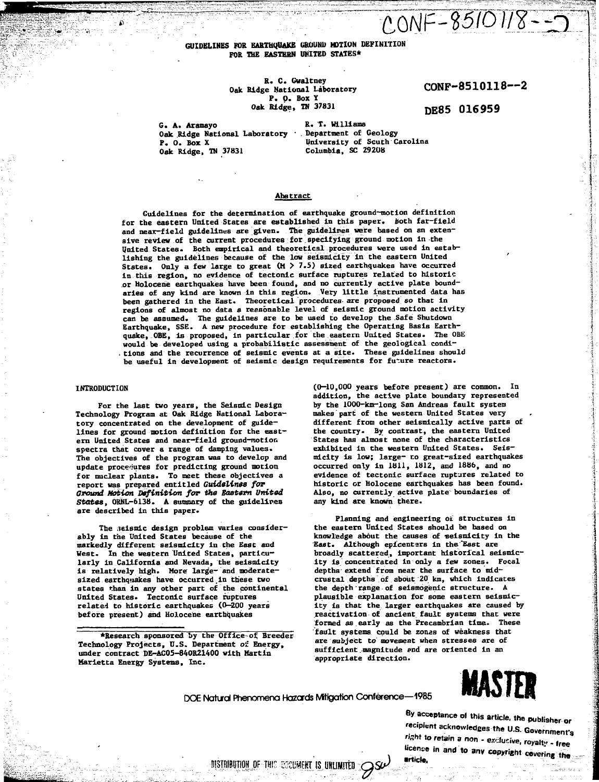# **GUIDELINES FOR EARTHQUAKE GROUND MOTION DEFINITION FOR THE EASTERN UNITED STATES\***

### **R. C. Gwaltney Oak Ridge National Laboratory P. O. Box Y Oak Ridge, IN 37831**

**CONF-8510118—2**

 $0.0NF - 85101/8 - 35$ 

**DE85 016959**

**G. A. Aramayo Oak Ridge National Laboratory Department of Geology P. 0. Box X Oak Ridge, TN 37831**

**R. T. Williams University of South Carolina Columbia, SC 29208**

## **Abstract**

**Guidelines for the determination of earthquake ground-motion definition** for the eastern United States are established in this paper. Both far-field and near-field guidelines are given. The guidelines were based on an exten**sive review of the current procedures for specifying ground motion in-the United States. Both empirical and theoretical procedures were used in establishing the guidelines because of the low seismicity in the eastern United States. Only a few large to great (M > 7.5) sized earthquakes have occurred in this region, no evidence of tectonic surface ruptures related to historic or Holocene earthquakes have been found, and no currently active plate boundaries of any kind are known in this region. Very little instrumented data has been gathered in the East. Theoretical procedures- are proposed so that in regions of almost no data a reasonable level of seismic ground motion activity can be assumed. The guidelines are to be used to develop the Safe Shutdown Earthquake, SSE. A new procedure for establishing the Operating Basis Earthquake, OBE, is proposed, in particular for the eastern United States. The QBE would be developed using a probabilistic assessment of the geological condi- . tions and the recurrence of seismic events at a site. These guidelines should** be useful in development of seismic design requirements for future reactors.

#### **INTRODUCTION**

**For the last two years, the Seismic Design Technology Program at Oak Ridge National Laboratory concentrated on the development of guidelines for ground motion definition for the eastern United States and near-field ground-notion spectra that cover a range of damping values. The objectives of the program was to develop and** update procedures for predicting ground motion **for nuclear plants. To meet these objectives a report was prepared entitled Guidelines for Ground Motion Definition for the Eastern United States, ORNL-6138. A summary of the guidelines are described in this paper.**

The seismic design problem varies consider**ably in the United States because of the markedly different seiamicity in the East and West. In the western United States, particularly in California and Nevada, the seismicity is relatively high. More large- and moderatesized earthquakes have occurred,in these two states than in any other part of the continental United States. Tectonic surface ruptures related to historic earthquakes (0—200 years before present) and Holocene earthquakes**

**•Research sponsored by the Office of. Breeder Technology Projects, U.S. Department ol Energy, under contract DE-AC05-84OR21400 with Hartin Marietta Energy Systems, Inc.**

**(0—10,000 years before present) are common. In addition, the active plate boundary represented by the 1000-km-long San Andreas fault system makes part of the western United States very different from other seismlcally active parts of the country. By contrast, the eastern United States has almost none of the characteristics exhibited in the western United States. Seismicity is low; large- to great-sized earthquakes occurred only in 1811, 1812, and 1886, and no evidence of tectonic surface ruptures related to historic or Holocene earthquakes has been found. Also, no currently active plate boundaries of any kind are known there.**

**Planning and engineering o£ structures in the eastern United States should be based on knowledge about the causes of 'seismicity in the East. Although epicenters in the "East are broadly scattered, important historical seismicity is concentrated in only a few zones. Focal depths'extend from near the surface to mid crustal depths of about 20 km, which indicates the depth range of seismogenic structure. A plausible explanation for some eastern seismicity is that the larger earthquakes are caused by reactivation of ancient fault systems that were formed as early as the Precambrian time. These fault systems, could be zonas of weakness that are subject to movement when stresses are of sufficient -magnitude and are oriented in an appropriate direction.**



**By acceptance of this article, the publisher or 'ecpfem acknowledees the U.S. Government's 'tent to retain a non - exc.ucive. ro yalti , . lre <sup>e</sup> Ucence** in and to any copyright covering the

DISTRIBUTION OF THIS ESSUMENT IS UNLIMITED  $\mathscr{S}^{\omega}$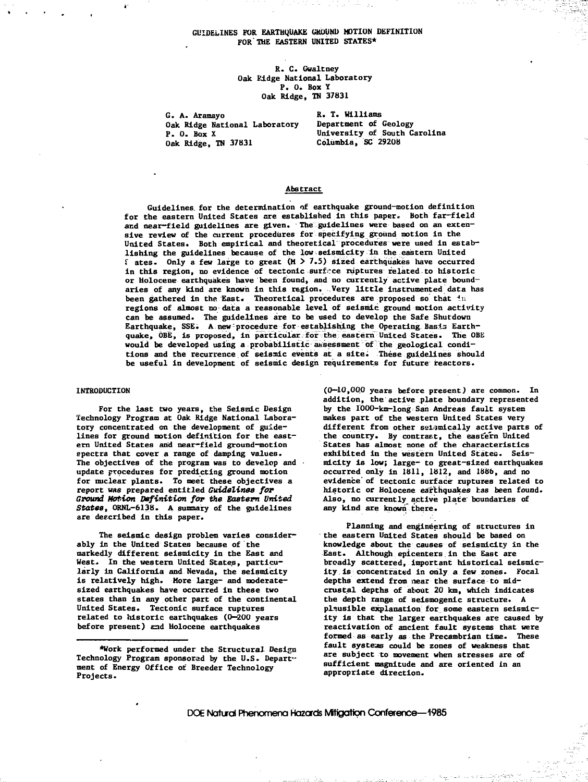### **GUIDELINES FOR. EARTHQUAKE GROUND MOTION DEFINITION FOR THE EASTERN UNITED STATES\***

**R. C. Gwaltney Oak Kldge National Laboratory P. 0. Box ¥ Oak Ridge, TO 37831**

**G. A. Aramayo Oak Ridge National Laboratory P. 0. Box X Oak Ridge, TN 37831**

**R. T. Williams Department of Geology University of South Carolina Columbia, SC 29208**

#### **Abstract**

**Guidelines, for the determination of earthquake ground-motion definition for the eastern United States are established in this paper.. Both far-field and near-field guidelines are given. The guidelines were based on an extensive review of the current procedures for specifying ground notion in the United States. Both empirical and theoretical procedures were used in establishing the guidelines because of the low seismicity in the eastern United f ates. Only a few large to great (M > 7.5) sized earthquakes have occurred** in this region, no evidence of tectonic surface ruptures related to historic **or Holocene earthquakes have been found, and no currently active plate boundaries of any kind are known in this region. Very little instrumented data has been gathered in the East. Theoretical procedures are proposed so that in regions of almost no data a reasonable level of seismic ground motion activity can be assumed. The guidelines are to be used to develop the Safe Shutdown Earthquake, SSE. A new procedure for establishing the Operating. Basis Earthquake, OBE, is proposed, in particular for the eastern United States. The OBE would be developed using a probabilistic assessment of the geological conditions and the recurrence of seismic events at a site; These guidelines should be useful in development of seismic design requirements for future reactors.**

#### **INTRODUCTION**

**For the last two years, the Seismic Design Technology Program at Oak Ridge National Laboratory concentrated on the development of guidelines for ground motion definition for the eastern United States and near-field ground-motion spectra that cover a range of damping values. The objectives of the program was to develop and update procedures for predicting ground motion for nuclear plants. To meet these objectives a report was prepared entitled Guidelines for Ground Motion Definition for the Eastern United States, ORNL-6138. A summary of the guidelines are described in this paper.**

**The seismic design problem varies considerably in the United States because of the markedly different seismicity in the East and West. In the western United States, particularly in California and Nevada, the seismicity is relatively high. More large- and moderatesized earthquakes have occurred in these two states than in any other part of the continental United States. Tectonic surface ruptures related to historic earthquakes (0—200 years before present) end Holocene earthquakes**

**(0—10,000 years before present) are common. In addition, the active plate boundary represented by the 1000-km-long San Andreas fault system makes part of the western United States very different from other selimically active parts of the country. By contract, the eastern United States has almost none of the characteristics exhibited in the western United States. Seismicity is low; large- to great-sized earthquakes occurred only in 1811, 1812, and 1886, and no evidence"of tectonic surface ruptures related to historic or Holocene earthquakes has been found. Also, no currently active plate' boundaries of any kind are known" there.**

**Planning and engineering of structures in the eastern United States should be based on knowledge about the causes of seismicity in the East. Although epicenters in the East are broadly scattered, important historical seismicity is concentrated in only a few zones. Focal** depths extend from near the surface to mid**crustal depths of about 20 km, which indicates the depth range of seismogenie structure. A plausible explanation for some eastern seismicity is that the larger earthquakes are caused by reactivation of ancient fault systems that were formed as early as the Precambrlan time. These fault systeas could be zones of weakness that are subject to movement when stresses are of sufficient magnitude and are oriented in an appropriate direction.**

DOE Natural Phenomena Hazards Mffigatton Conference—1985

**<sup>\*</sup>Work performed under the Structural Design Technology Program sponsored by the U.S. Depart" ment of Energy Office of Breeder Technology Projects.**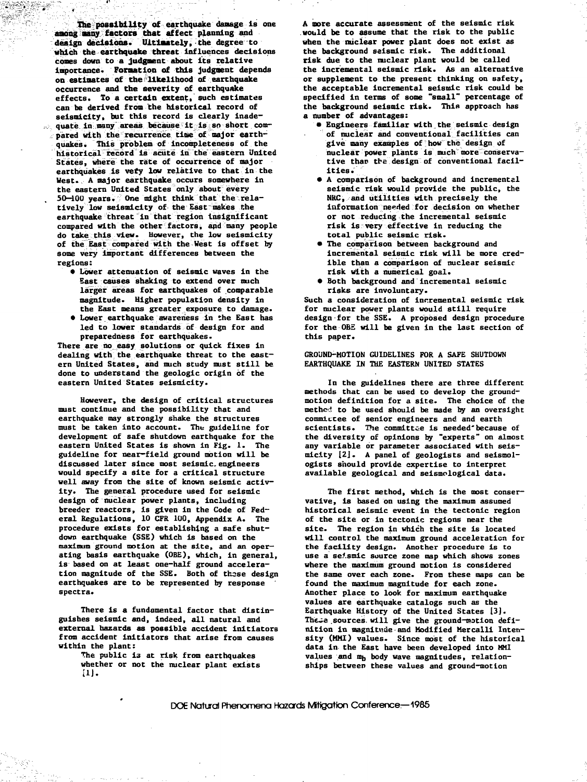**The possibility of** earthquake damage is one **awing many factors that affect** planning and **design decisions. Ultimately,** the degree to **which** the **earthquake threat** Influences decisions cones down to a **judgment** about its relative importance. **Formation of** this judgment depends on estimates of the "likelihood of earthquake occurrence and the severity of earthquake effects. To a certain extent, such estimates can be derived from the historical record of seismicity, but this record is clearly inadequate in many areas because it is so short compared with the recurrence time of major earthquakes. This problem of incompleteness of the historical record is acute in the eastern United States, where the rate of occurrence of major earthquakes is very low relative to that in the West. A major earthquake occurs somewhere in the eastern United States only about every 50—100 years. One might think that the relatively low seismicity of the East makes the earthquake threat in that region insignificant compared with the other factors, and many people do take this view. However, the low seismicity of the East compared with the West is offset by some very important differences between the regions:

..

- Lower attenuation of seismic waves in the East causes shaking to extend over much larger areas for earthquakes of comparable magnitude. Higher population density in the East means greater exposure to damage.
- Lower earthquake awareness in the East has led to lower standards of design for and preparedness for earthquakes.

There are no easy solutions or quick fixes In dealing with the earthquake threat to the eastern United States, and much study must still be done to understand the geologic origin of the eastern United States seismicity.

However, the design of critical structures must continue and the possibility that and earthquake may strongly shake the structures must be taken into account. The guideline for development of safe shutdown earthquake for the eastern United States is shown in Fig. 1. The guideline for near—field ground motion will be discussed later since most seismic.engineers would specify a site for a critical structure well away from the site of known seismic activity. The general procedure used for seismic design of nuclear power plants, including breeder reactors, is given in the Code of Federal Regulations, 10 CFR 1U0, Appendix A. The procedure exists for establishing a safe shutdown earthquake (SSE) which is based on the maximum ground motion at the site, and an operating basis earthquake **(OBE),** which, in general, is based on at least one-half ground acceleration magnitude of the SSE. Both of these design earthquakes are to be represented by response spectra.

There is a fundamental factor that distinguishes seismic and, indeed, all natural and external hazards as possible accident initiators from accident initiators that arise from causes within the plant:

The public is at risk from earthquakes whether or not the nuclear plant exists [1J.

A more accurate assessment of the seismic risk would be to assume that the risk to the public when the nuclear power plant does not exist as the background seismic risk. The additional risk due to the nuclear plant would be called the incremental seismic risk. As an alternative or supplement to the present thinking on safety, the acceptable incremental seismic risk could be specified in terms of some "small" percentage of the background seismic risk. This approach has a number of advantages:

- Engineers familiar with the seismic design of nuclear and conventional facilities can give many examples of how the design of nuclear power plants is much more conservative than the design of conventional facilities.
- A comparison of background and incremental seismic risk would provide the public, the NRC, and utilities with precisely the information needed for decision on whether or not reducing the incremental seismic risk is very effective in reducing the total public seismic risk.
- The comparison between background and incremental seismic risk will be more credible than a comparison of nuclear seismic risk with a numerical goal.
- Both background and incremental seismic risks are involuntary.

Such a consideration of incremental seismic risk for nuclear power plants would still require design for the SSE. A proposed design procedure for the OBE will be given in the last section of this paper.

## GROUND-MOTION GUIDELINES FOR A SAFE SHUTDOWN EARTHQUAKE IN THE EASTERN UNITED STATES

In the guidelines there are three different methods that can be used to develop the groundmotion definition for a site. The choice of the methed to be used should be made by an oversight commiccee of senior engineers and and earth scientists. The committee is needed because of the diversity of opinions by "experts" on almost any variable or parameter associated with seismicity 12J. A panel of geologists and seismologists should provide expertise to interpret available geological and seismological data.

The first method, which is the most conservative, is based on using the maximum assumed historical seismic event in the tectonic region of the site or in tectonic regions near the site. The region in which the site is located will control the maximum ground acceleration for the facility design. Another procedure is to use a seismic source zone map which shows zones where the maximum ground motion is considered the same over each zone. From these maps can be found the maximum magnitude for each zone. Another place to look for maximum earthquake values are earthquake catalogs such as the Earthquake History of the United States [3]. These sources will give the ground-motion definition in magnitude and Modified Mercalli Intensity (MMI) values. Since most of the historical data in the East have been developed into MMI values and m<sub>p</sub> body wave magnitudes, relationships between these values and ground-motion

DOE Natural Phenomena Hazards Mitigation Conference-1985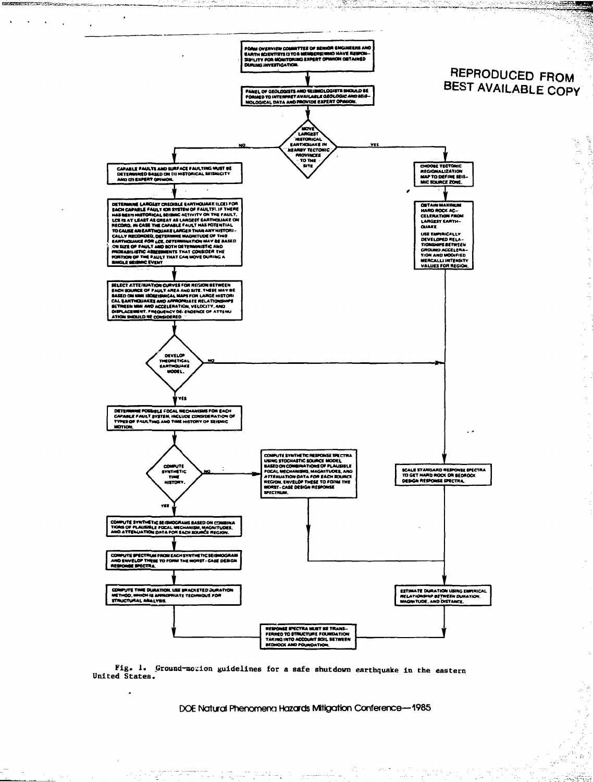

æra)

and and a support of

ji ve n

しんきま みる

a.<br>Historia

ar in

 $\frac{3}{3}$  $\frac{1}{2}$ 

The Lating

УŽ. Program<br>Program

kjas

그 공주 전<br>과 작가 관

**REGISTRATIONS AND LOCAL COMMUNISTIES** 

Fig. 1. Ground-motion guidelines for a safe shutdown earthquake in the eastern United States.

 $\label{eq:2} \mathcal{L}^{\alpha}(\mathcal{L}^{\alpha}_{\alpha}) \leq \mathcal{L}^{\alpha}_{\alpha} \mathcal{L}^{\alpha}_{\alpha} \mathcal{L}^{\alpha}_{\alpha} \mathcal{L}^{\alpha}_{\alpha} \mathcal{L}^{\alpha}_{\alpha} \mathcal{L}^{\alpha}_{\alpha} \mathcal{L}^{\alpha}_{\alpha} \mathcal{L}^{\alpha}_{\alpha} \mathcal{L}^{\alpha}_{\alpha} \mathcal{L}^{\alpha}_{\alpha} \mathcal{L}^{\alpha}_{\alpha} \mathcal{L}^{\alpha}_{\alpha} \mathcal{L}^{\alpha}_{\alpha} \mathcal{L}^{\alpha}_{\alpha} \mathcal{L$ 

.

DOE Natural Phenomena Hazards Mitigation Conference-1985

 $\gamma_{\rm{eff}}$  is an origination of  $\hat{r}_{\rm{eff}}$  , and  $\gamma_{\rm{eff}}$ 

 $\frac{2\pi}{4}$  :

 $\sim 10^{-4}$  m  $^{-1}$ 

 $\sim 10^6$  km

 $\lim_{\epsilon \rightarrow 0} \frac{1}{\epsilon} \frac{\partial}{\partial \epsilon} \left[ \frac{\partial}{\partial \epsilon} \right] \frac{\partial}{\partial \epsilon} \left[ \frac{\partial}{\partial \epsilon} \right]$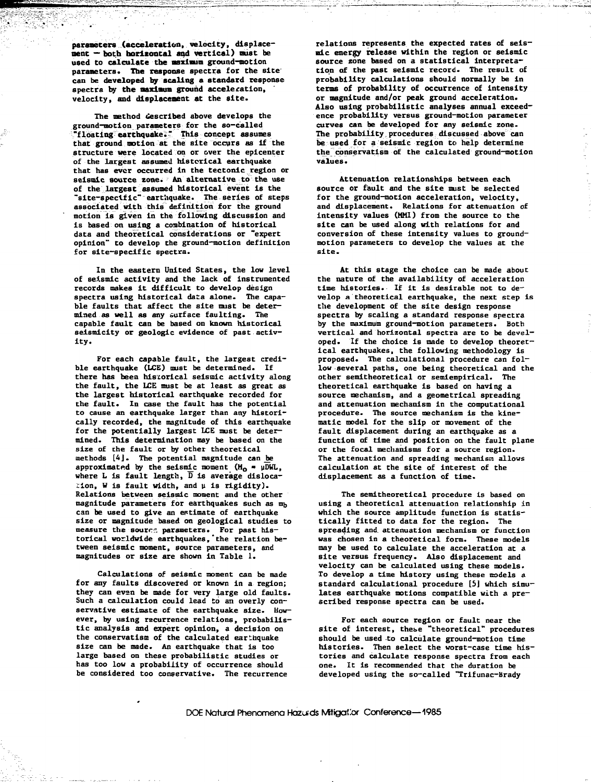**parameters (acceleration, velocity, displacement — both horizontal and vertical)** oust be used to **calculate the maximum** ground-motion parameters. **The response spectra for** the site' can be **developed by scaling a standard** response spectra by the maximum ground acceleration. velocity, **and displacement at** the site.

The method described above develops the ground-motion **parameters** for the so-called "floating earthquake." This concept assumes that ground motion at the site occurs as if the structure **were** located on or over the epicenter of the largest assumed historical earthquake that has ever occurred in the tectonic region or seismic source zone. An alternative to the use of the largest assumed historical event is the "site-specific\* earthquake. The series of steps associated with this definition for the ground motion is given in the following discussion and is based on using a combination of historical data and theoretical considerations or "expert opinion" to develop the ground-motion definition for site-specific spectra.

In the eastern United States, the low level of seismic activity and the lack of instrumented records makes it difficult to develop design spectra using historical data alone. The capable faults that affect the site must be determined as well as any surface faulting. The capable fault can be based on known historical seismicity or geologic evidence of past activity.

For each capable fault, the largest credible earthquake (LCE) must be determined. If there has been historical seismic activity along the fault, the LCE must be at least as great as the largest historical earthquake recorded for the fault. In case the fault has the potential to cause an earthquake larger than any historically recorded, the magnitude of this earthquake for the potentially largest LCE must be determined. This determination may be based on the size of the fault or by other theoretical methods [4]. The potential magnitude can be approximated by the seismic moment  $(H_0 - \mu)$ DWL, where L is fault length,  $\overline{D}$  is average dislocation, W is fault width, and u is rigidity). Relations between seismic moment and the other magnitude parameters for earthquakes such as mb can be used to give an estimate of earthquake size or magnitude based on geological studies to measure the source parameters. For past historical worldwide earthquakes,'the relation between seismic moment, source parameters, and magnitudes or size are shown in Table 1.

Calculations of seismic moment can be made for any faults discovered or known in a region; they can even be made for very large old faults. Such a calculation could lead to an overly conservative estimate of the earthquake size. However, by using recurrence relations, probabilistic analysis and expert opinion, a decision on the conservatism of the calculated earthquake size can be made. An earthquake that is too large based on these probabilistic studies or has too low a probability of occurrence should be considered too conservative. The recurrence

relations represents the expected rates of seismic energy release within the region or seismic source zone based on a statistical interpretation of the past seismic record. The result of probability calculations should normally be in terms of probability of occurrence of intensity or magnitude and/or peak ground acceleration. Also using probabilistic analyses annual exceedence probability versus ground-motion parameter curves can be developed for any seismic zone. The probability procedures discussed above can be used for a seismic region to help determine the conservatism of the calculated ground-motion values.

Attenuation relationships between each source or fault and the site must be selected for the ground-motion acceleration, velocity, and displacement. Relations for attenuation of intensity values (MMI) from the source to the site can be used along with relations for and conversion of these intensity values to groundmotion parameters to develop the values at the site.

At this stage the choice can be made about the nature of the availability of acceleration time histories. If it is desirable not to develop a theoretical earthquake, the next step is the development of the site design response spectra by scaling a standard response spectra by the maximum ground-motion parameters. Both vertical and horizontal spectra are to be developed. If the choice is made to develop theoretical earthquakes, the following methodology is proposed. The calculational procedure can follow several paths, one being theoretical and the other semitheoretical or semiempirical. The theoretical earthquake is based on having a source mechanism, and a geometrical spreading and attenuation mechanism in the computational procedure. The source mechanism is the kinematic model for the slip or movement of the fault displacement during an earthquake as a function of time and position on the fault plane or the focal mechanisms for a source region. The attenuation and spreading mechanism allows calculation at the site of interest of the displacement as a function of time.

The semitheoretical procedure is based on using a theoretical attenuation relationship in which the source amplitude function is statistically fitted to data for the region. The spreading and. attenuation mechanism or function was chosen in a theoretical form. These models may be used to calculate the acceleration at a site versus frequency. Also displacement and velocity can be calculated using these models. To develop a time history using these nodels a standard calculational procedure [5] which simulates earthquake motions compatible with a prescribed response spectra can be used.

For each source region or fault near the site of interest, these "theoretical" procedures should be used to calculate ground-motion time histories. Then select the worst-case time histories and calculate response spectra from each one. It is recommended that the duration be developed using the so-called "Trifunac-Brady

DOE Natural Phenomena Hazuds Mitigailor Conference—1985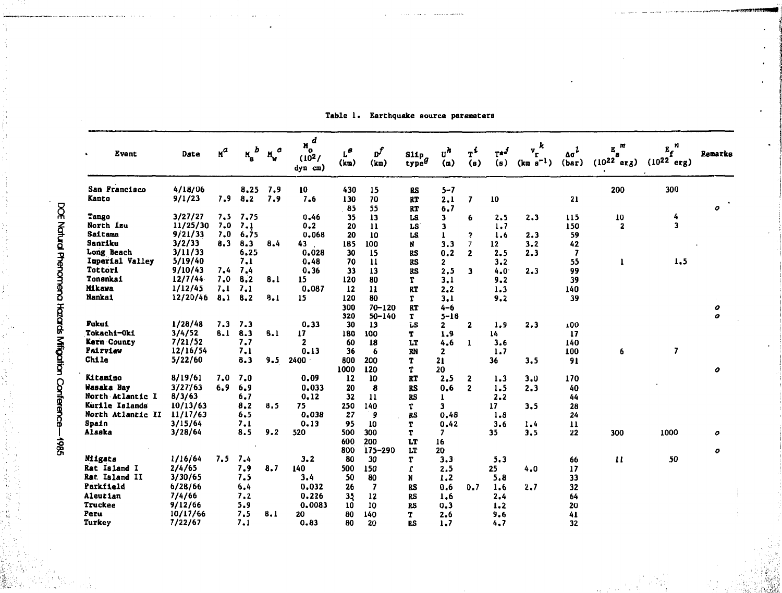| Event<br>$\bullet$ | Date     | $n^a$ | D<br>$M_{\rm g}$ | ٥   | $M_0^d$<br>(10 <sup>2</sup> )<br>$dyn$ $cm)$ | $\mathbf{r}_\mathbf{e}$<br>(kn) | рf<br>(km)               | $\frac{\text{S11p}}{\text{type}^g}$ | $\mathbf{u}^h$<br>(n) | $T^L$<br>(s)            | $T^{\star J}$<br>(a) | k<br>$\mathbf{v}_{\mathbf{r}}$<br>$(km s^{-1})$ | $\Delta \sigma^2$<br>(bar) | m<br>E<br>$(10^{22})$<br>erg) | $E_f^{\ n}$<br>$(10^{22} \text{ erg})$ | Remarks |
|--------------------|----------|-------|------------------|-----|----------------------------------------------|---------------------------------|--------------------------|-------------------------------------|-----------------------|-------------------------|----------------------|-------------------------------------------------|----------------------------|-------------------------------|----------------------------------------|---------|
| San Francisco      | 4/18/06  |       | 8.25             | 7,9 | 10                                           | 430                             | 15                       | BS                                  | $5 - 7$               |                         |                      |                                                 |                            | 200                           | 300                                    |         |
| Kanto              | 9/1/23   | 7.9   | 8.2              | 7.9 | 7.6                                          | 130<br>85                       | 70<br>55                 | RT<br>RT                            | 2.1<br>6.7            | $\overline{\mathbf{z}}$ | 10                   |                                                 | 21                         |                               |                                        | 0       |
| Tango              | 3/27/27  | 7.5   | 7.75             |     | 0.46                                         | 35                              | 13                       | LS                                  | 3                     | 6                       | 2.5                  | 2.3                                             | 115                        | 10                            | 4                                      |         |
| North Izu          | 11/25/30 | 7.0   | 7.1              |     | 0.2                                          | 20                              | $\mathbf{11}$            | LS                                  | 3                     |                         | 1,7                  |                                                 | 150                        | $\overline{\mathbf{2}}$       | 3                                      |         |
| Saitama            | 9/21/33  | 7.0   | 6.75             |     | 0.068                                        | 20                              | 10                       | LS                                  | $\mathbf{I}$          | $\overline{\mathbf{z}}$ | 1.6                  | 2.3                                             | 59                         |                               |                                        |         |
| Sanriku            | 3/2/33   | 8.3   | 8.3              | 8.4 | 43                                           | 185                             | 100                      | N                                   | 3.3                   | $\mathcal I$            | 12 <sup>2</sup>      | 3.2                                             | 42                         |                               |                                        |         |
| Long Beach         | 3/11/33  |       | 6.25             |     | 0.028                                        | 30                              | 15                       | <b>RS</b>                           | 0.2                   | $\overline{2}$          | 2.5                  | 2.3                                             | $\overline{\mathbf{z}}$    |                               |                                        |         |
| Imperial Valley    | 5/19/40  |       | 7.1              |     | 0.48                                         | 70                              | 11                       | <b>RS</b>                           | 2                     |                         | 3.2                  |                                                 | 55                         |                               | 1.5                                    |         |
| Tottori            | 9/10/43  | 7.4   | 7.4              |     | 0.36                                         | 33                              | 13                       | RS                                  | 2.5                   | $\overline{\mathbf{3}}$ | 4.0                  | 2.3                                             | 99                         |                               |                                        |         |
| Tonsnkai           | 12/7/44  | 7.0   | 8,2              | 8.1 | 15                                           | 120                             | 80                       | T                                   | 3.1                   |                         | 9.2                  |                                                 | 39                         |                               |                                        |         |
| <b>Mikawa</b>      | 1/12/45  | 7.1   | 7.1              |     | 0.087                                        | 12                              | $\mathbf{11}$            | <b>RT</b>                           | 2.2                   |                         | 1.3                  |                                                 | 140                        |                               |                                        |         |
| Nankai             | 12/20/46 | 8.1   | 8.2              | 8.1 | 15                                           | 120                             | 80                       | T                                   | 3.1                   |                         | 9.2                  |                                                 | 39                         |                               |                                        |         |
|                    |          |       |                  |     |                                              | 300                             | $70 - 120$               | <b>RT</b>                           | $4 - 6$               |                         |                      |                                                 |                            |                               |                                        | 0       |
|                    |          |       |                  |     |                                              | 320                             | $50 - 140$               | $\mathbf{T}$                        | $5 - 18$              |                         |                      |                                                 |                            |                               |                                        | o       |
| Fukui              | 1/28/48  | 7.3   | 7.3              |     | 0.33                                         | 30                              | 13                       | ī.S                                 | $\mathbf{2}$          | $\mathbf{2}$            | 1.9                  | 2.3                                             | 100                        |                               |                                        |         |
| Tokachi-Oki        | 3/4/52   | 8.1   | 8.3              | 8.1 | 17 <sup>2</sup>                              | 180                             | 100                      | T                                   | 1.9                   |                         | 14                   |                                                 | 17                         |                               |                                        |         |
| Kern County        | 7/21/52  |       | 7.7              |     | $\mathbf{z}$                                 | 60                              | 18                       | LT                                  | 4.6                   | $\mathbf{1}$            | 3.6                  |                                                 | 140                        |                               |                                        |         |
| Fairview           | 12/16/54 |       | 7.1              |     | 0.13                                         | 36                              | 6                        | RN                                  | $\mathbf{z}$          |                         | 1.7                  |                                                 | 100                        | 6                             | $\overline{\phantom{a}}$               |         |
| Chile              | 5/22/60  |       | 8.3              | 9.5 | $2400 -$                                     | 800                             | 200                      | T                                   | 21                    |                         | 36                   | 3.5                                             | 91                         |                               |                                        |         |
|                    |          |       |                  |     |                                              | 1000                            | 120                      | T                                   | 20                    |                         |                      |                                                 |                            |                               |                                        | 0       |
| Kitamino           | 8/19/61  | 7.0   | 7.0              |     | 0.09                                         | 12                              | 10                       | <b>RT</b>                           | 2.5                   | $\mathbf{2}$            | 1.3                  | 3.0                                             | 170                        |                               |                                        |         |
| Wasaka Bay         | 3/27/63  | 6.9   | 6.9              |     | 0.033                                        | 20                              | 8                        | <b>RS</b>                           | 0.6                   | $\overline{2}$          | 1.5                  | 2.3                                             | 40                         |                               |                                        |         |
| North Atlantic I   | 8/3/63   |       | 6.7              |     | 0.12                                         | 32                              | 11                       | RS                                  | $\mathbf{I}$          |                         | 2.2                  |                                                 | 44                         |                               |                                        |         |
| Kurile Islands     | 10/13/63 |       | 8.2              | 8.5 | 75                                           | 250                             | 140                      | T.                                  | 3                     |                         | 17                   | 3.5                                             | 28                         |                               |                                        |         |
| North Atlantic II  | 11/17/63 |       | 6.5              |     | 0.038                                        | 27                              | 9                        | <b>RS</b>                           | 0.48                  |                         | 1.8                  |                                                 | 24                         |                               |                                        |         |
| Spain              | 3/15/64  |       | 7.1              |     | 0.13                                         | 95                              | 10                       | T                                   | 0.42                  |                         | 3.6                  | 1,4                                             | 11                         |                               |                                        |         |
| Alaska             | 3/28/64  |       | 8.5              | 9.2 | 520                                          | 500                             | 300                      | т                                   | 7                     |                         | 35                   | 3.5                                             | 22                         | 300                           | 1000                                   | 0       |
|                    |          |       |                  |     |                                              | 600                             | 200                      | LT                                  | 16                    |                         |                      |                                                 |                            |                               |                                        |         |
|                    |          |       |                  |     |                                              | 800                             | 175-290                  | LT                                  | 20                    |                         |                      |                                                 |                            |                               |                                        | 0       |
| Niigata            | 1/16/64  | 7.5   | 7,4              |     | 3, 2                                         | 80                              | 30                       | T                                   | 3.3                   |                         | 5.3                  |                                                 | 66                         | $\mathbf{H}$                  | 50                                     |         |
| Rat Island I       | 2/4/65   |       | 7.9              | 8.7 | 140                                          | 500                             | 150                      | r                                   | 2.5                   |                         | 25 <sub>2</sub>      | 4.0                                             | 17                         |                               |                                        |         |
| Rat. Island II     | 3/30/65  |       | 7.5              |     | 3.4                                          | 50                              | 80                       | N                                   | 1,2                   |                         | 5.8                  |                                                 | 33                         |                               |                                        |         |
| Parkfield          | 6/28/66  |       | 6.4              |     | 0.032                                        | 26                              | $\overline{\phantom{a}}$ | <b>RS</b>                           | 0.6                   | 0.7                     | 1.6                  | 2.7                                             | 32                         |                               |                                        |         |
| Aleutian           | 7/4/66   |       | 7.2              |     | 0.226                                        | 35                              | 12                       | <b>RS</b>                           | 1.6                   |                         | 2.4                  |                                                 | 64                         |                               |                                        |         |
| Truckee            | 9/12/66  |       | 5.9              |     | 0.0083                                       | 10                              | 10                       | <b>RS</b>                           | 0.3                   |                         | 1.2                  |                                                 | 20                         |                               |                                        |         |
| Peru               | 10/17/66 |       | 7.5              | 8.1 | 20                                           | 80                              | 140                      | T                                   | 2.6                   |                         | 9.6                  |                                                 | 41                         |                               |                                        |         |
| Turkey             | 7/22/67  |       | 7.1              |     | 0.83                                         | 80                              | 20                       | RS                                  | 1.7                   |                         | 4.7                  |                                                 | 32                         |                               |                                        |         |

Table 1. Earthquake source parameters

g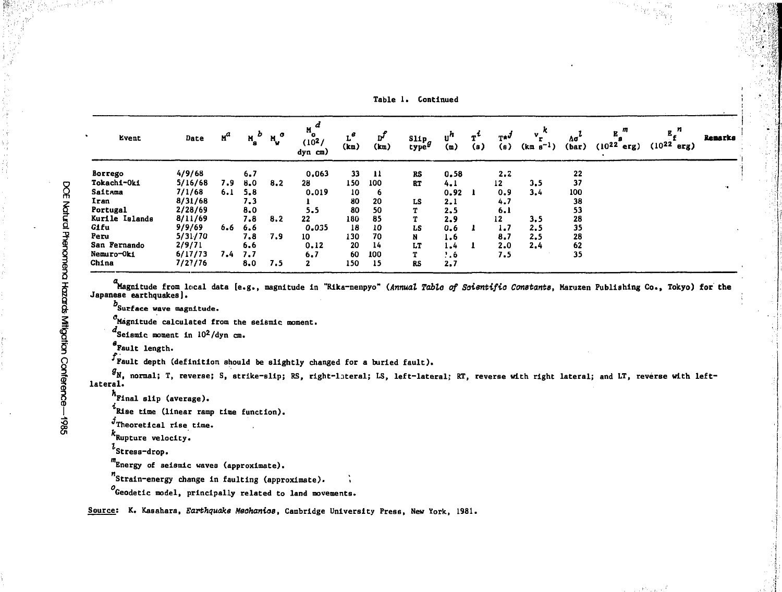| Event          | Date    | $n^a$ | $M_{\rm g}$ | $N_{\rm u}$ <sup>o</sup> | M<br>(102)<br>dyn cm) | (km) | ת<br>(k <sub>m</sub> ) | $\frac{\text{Slip}}{\text{type}}g$ | $\mathbf{u}^n$<br>(m) | (s) | $T^{*d}$<br>(s) | $v_k^k$<br>$(km s^{-1})$ | Δσ<br>(bar) | $(10^{22}$<br>erg) | $(10^{22}$<br>erg) | Remarks |
|----------------|---------|-------|-------------|--------------------------|-----------------------|------|------------------------|------------------------------------|-----------------------|-----|-----------------|--------------------------|-------------|--------------------|--------------------|---------|
| Borrego        | 4/9/68  |       | 6.7         |                          | 0,063                 | 33   | -11                    | <b>RS</b>                          | 0.58                  |     | 2.2             |                          | 22          |                    |                    |         |
| Tokachi-Oki    | 5/16/68 | 7.9   | 8.0         | 8.2                      | 28                    | 150  | 100                    | RT                                 | 4.1                   |     | 12              | 3.5                      | 37          |                    |                    |         |
| Saitama        | 7/1/68  | 6.1   | 5.8         |                          | 0.019                 | 10   | 6                      |                                    | 0.92                  |     | 0, 9            | 3.4                      | 100         |                    |                    |         |
| Iran           | 8/31/68 |       | 7.3         |                          |                       | 80   | 20                     | LS                                 | 2.1                   |     | 4.7             |                          | 38          |                    |                    |         |
| Portugal       | 2/28/69 |       | 8.0         |                          | 5.5                   | 80   | 50                     |                                    | 2.5                   |     | 6.1             |                          | 53          |                    |                    |         |
| Kurile Islands | 8/11/69 |       | 7.8         | 8.2                      | 22                    | 180  | 85                     |                                    | 2.9                   |     | 12              | 3,5                      | 28          |                    |                    |         |
| Gifu           | 9/9/69  | 6.6   | 6.6         |                          | 0.035                 | 18   | 10                     | LS                                 | 0.6                   |     | 1.7             | 2.5                      | 35          |                    |                    |         |
| Peru           | 5/31/70 |       | 7.8         | 7.9                      | 10                    | 130  | 70                     | N                                  | 1.6                   |     | 8.7             | 2.5                      | 28          |                    |                    |         |
| San Fernando   | 2/9/71  |       | 6.6         |                          | 0.12                  | 20   | 14                     | LT                                 | $1 - 4$               |     | 2.0             | 2.4                      | 62          |                    |                    |         |
| Nemuro-Oki     | 6/17/73 | 7.4   | 7.7         |                          | 6.7                   | 60   | 100                    |                                    | $\cdot$ . 6           |     | 7.5             |                          | 35          |                    |                    |         |
| China          | 7/27/76 |       | 8.0         | 7.5                      | 2                     | 150  | 15                     | <b>RS</b>                          | 2,7                   |     |                 |                          |             |                    |                    |         |

Table 1. Continued

Magnitude from local data [e.g., magnitude in "Rika-nenpyo" (*Annual Table of Soientifio Constants*, Maruzen Publishing Co., Tokyo) for the<br>Japanese earthquakes].

b<br>Surface wave magnitude.

 $\sigma_{\text{Magnitude}}$  calculated from the seismic moment.

 $d_{\text{Seismic moment in }10^{2}/\text{dyn cm}}$ .

Fault length.

 $f_{\text{Pault}}$  depth (definition should be slightly changed for a buried fault).

 $g_{N}$ , normal; T, reverse; S, strike-slip; RS, right-lateral; LS, left-lateral; RT, reverse with right lateral; and LT, reverse with leftlateral.

h<br>Final slip (average).

 $i$ Rise time (linear ramp time function).

 $j$ Theoretical rise time.

Rupture velocity.

 $t_{\texttt{Stress-drop}}$ .

Energy of seismic waves (approximate).

Strain-energy change In faulting (approximate). >

 $^o$ Geodetic model, principally related to land movements.

Source; K. Kasahara, Earthquake Meohanioa, Cambridge University Press, New York, 1981.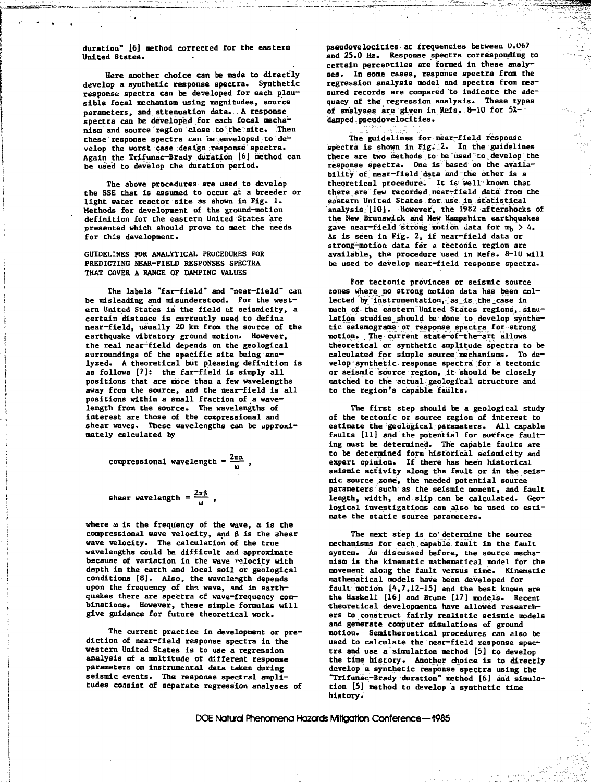**duration" [6] i :thod corrected for the eastern United States.**

**Here another choice can be made to directly develop a synthetic response spectra. Synthetic response spectra can be developed for each plausible focal mechanism using magnitudes, source parameters, and attenuation data. A response** spectra can be developed for each focal mecha**nism and source region dose to the site. Then** these response spectra can be enveloped to de**velop the worst case design response spectra. Again the Trifunac-Brady duration [6] method can be used to develop the duration period.**

**The above procedures are used to develop the SSE that is assumed to occur at a breeder or light water reactor site as shown in Fig. 1. Methods fox development of the ground-motion definition for the eastern United States are presented which should prove to meet the needs for this development.**

**GUIDELINES FOR ANALYTICAL PROCEDURES FOR PREDICTING NEAR-FIELD RESPONSES SPECTRA THAT COVER A RANGE OF DAMPING VALUES**

**The labels "far-field" and "near-field" can be misleading and misunderstood. For the western United States in the field ci seismicity, a certain distance is currently used to define near-field, usually 20 km from the source of the earthquake vibratory ground motion. However, the real near—field depends on the geological surroundings of the specific site being analyzed. A theoretical but pleasing definition is** as follows [7]: the far-field is simply all **positions that are more than a few wavelengths away from the source, and the near—field is all positions within a small fraction of a wavelength from the source. The wavelengths of interest are those of the compressional and** shear waves. These wavelengths can be approxi**mately calculated by**

**compressional wavelength =**  $\frac{2\pi\alpha}{\omega}$ ,

**shear wavelength =**  $\frac{2\pi\beta}{\omega}$ **,** 

**where u is the frequency of the wave, a is the compressional wave velocity, and B is the shear wave velocity. The calculation of the true wavelengths could be difficult and approximate because of variation in the wave velocity with depth in the earth and local soil or geological conditions [8]. Also, the wavelength depends** upon the frequency of the wave, and in earth**quakes there are spectra of wave-frequency combinations. However, these simple formulas will give guidance for future theoretical work.**

**The current practice in development or prediction of near-field response spectra in the western United States is to use a regression analysis of a multitude of different response parameters on instrumental data taken during seismic events. The response spectral amplitudes consist of separate regression analyses of** **pseudovelocities at frequencies between 0.067 and 25.0 Hz. Response spectra corresponding to certain percentiles are formed in these analyses. In some cases, response spectra from the regression analysis model and spectra from measured records are compared to indicate the adequacy of the regression analysis. These types** of analyses are given in Refs. 8-10 for 5Xdamped pseudovelocities.

真空

**The guidelines for near-field response spectra is shown in Fig. 2. In the guidelines there are two methods to be used to develop the response spectra. One is based on the availability of near-field data and the other is a theoretical procedure. It is,well known that there are few recorded near-field data from the eastern United States for use in statistical analysis 110]. However, the 19B2 aftershocks of the New Brunswick and New Hampshire earthquakes** gave near-field strong motion data for m<sub>b</sub> > 4. **As is seen in Fig. 2, if near-field data or strong-motion data for a tectonic region are available, the procedure used in Kefs. 8-10 will be used to develop near-field response spectra.**

**For tectonic provinces or seismic source zones where no strong motion data has been collected by instrumentation, as is the case in much of the eastern united States regions, simu**lation studies should be done to develop synthe**tic seismograms or response spectra for strong motion. The current state-of-the-art allows theoretical or synthetic amplitude spectra to be calculated for simple source mechanisms. To develop synthetic response spectra for a tectonic or seismic source region, it should be closely matched to the actual geological structure and to the region's capable faults.**

**The first step should be a geological study of the tectonic or source region of interest to estimate the geological parameters. All capable faults [11] and the potential for surface faulting must be determined. The capable faults are to be determined form historical seismicity and expert opinion. If there has been historical seismic activity along the fault or in the seismic source zone, the needed potential source parameters such as the seismic moment, and fault length, width, and slip can be calculated. Geological investigations can also be used to estimate the static source parameters.**

**The next step is to'determine the source mechanisms for each capable fault in the fault system. As discussed before, the source mechanism is the kinematic mathematical model for the movement along 'the fault versus time. Kinematic mathematical models have been developed for fault motion [4,7,12-15] and the best known are the Haskell [16J and Brune [17] models. Recent theoretical developments have allowed researchers to construct fairly realistic seismic models and generate computer simulations of ground motion. Semitheroetical procedures can also be used to calculate the near-field response spectra and use a simulation method [5] to develop the time history. Another choice is to directly develop a synthetic response spectra using the "Trifunac-Brady duration" method [6] and simulation [5] method to develop a synthetic time history.**

DOE Natural Phenomena Hazards Mffigation Conference—1985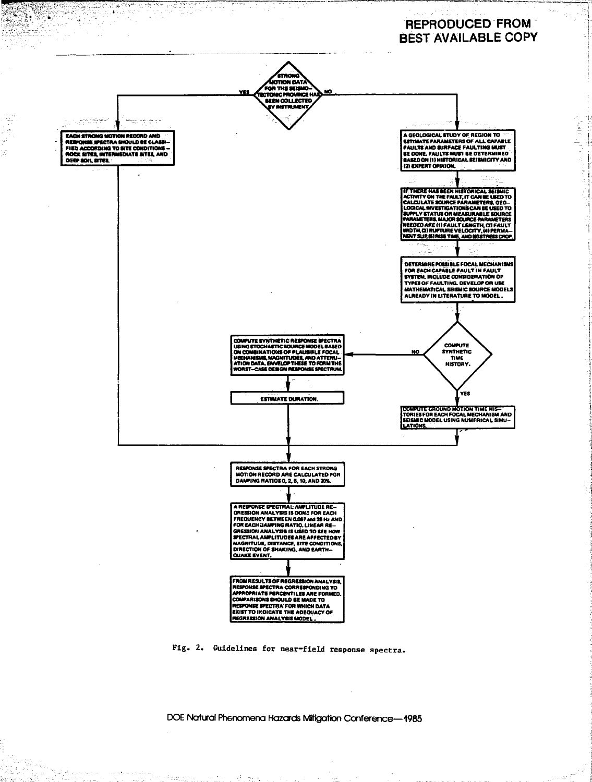# **REPRODUCED FROM BEST AVAILABLE COPY**

医单小叶



9 Pole

ă

 $\zeta^{\pm}_2$ Ļ,

<sup>io</sup> 24,

74.

당연군 노래~

الأساويان

where the same of solid  $\omega_{\rm{M}_{\rm{max}}^{\rm{max}}}$ 

Fig. 2. Guidelines for near-field response spectra.

DOE Natural Phenomena Hazards Mitigation Conference-1985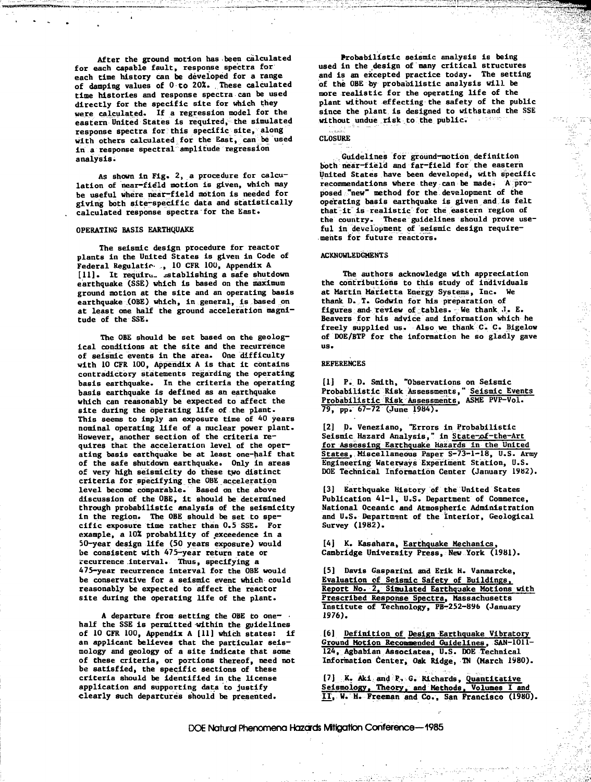**After the ground motion has been calculated for each capable fault, response spectra for each time history can be developed for a range of damping values of 0 to 202. These calculated time histories and response spectra can be used directly for the specific site for which they were calculated. If a regression model for the eastern United States is required, the simulated response spectra for this specific site, along with others calculated for the East, can be used in a response spectral amplitude regression analysis.**

**As shown in Fig. 2, a procedure for calculation of near-field motion is given, which may be useful where near-field motion is needed for giving both site-specific data and statistically calculated response spectra for the East.**

#### **OPERATING BASIS EARTHQUAKE**

**The seismic design procedure for reactor plants in the United States is given in Code of Federal Regulatic- ., 10 CFR 10U, Appendix A [11]. It require, establishing a safe shutdown earthquake (SSE) which is based on the maximum ground motion at the site and an operating basis earthquake (OBE) which, in general, Is based on at least one half the ground acceleration magnitude of the SSE.**

**The OBE should be set based on the geological conditions at the site and the recurrence of seismic events in the area. One difficulty with 10 CFR 100, Appendix A is that it contains contradictory statements regarding the operating basis earthquake. In the criteria the operating basis earthquake is defined as an earthquake which can reasonably be expected to affect the site during the operating life of the plant. This seems to imply an exposure time of 40 years nominal operating life of a nuclear power plant. However, another section of the criteria requires that the acceleration level of the operating basis earthquake be at least one-half that of the safe shutdown earthquake. Only in areas of very high seismicity do these two distinct criteria for specifying the OBE acceleration level become comparable. Based on the above discussion of the OBE, it should be determined through probabilistic analysis of the seismicity in the region. The OBE should be set to specific exposure time rather than 0.5 SSE. For example, a 10Z probability of exceedence in a 50-year design life (50 years exposure) would be consistent with 475-year return rate or recurrence interval. Thus, specifying a 475-year recurrence interval for the OBE would be conservative for a seismic event which could reasonably be expected to affect the reactor site during the operating life of the plant.**

**A departure from setting the OBE to one- half the SSE is permitted within the guidelines of 10 CFR 100, Appendix A [11] which states: if an applicant believes that the particular seismology and geology of a site indicate that some of these criteria, or portions thereof, need not be satisfied, the specific sections of these criteria should be identified in the license application and supporting data to justify clearly such departures should be presented.**

**Probabilistic seismic analysis is being used in the design of many critical structures and is an excepted practice today. The setting of the OBE by probabilistic analysis will be more realistic for the operating life of the plant without effecting the safety of the public since the plant is designed to withstand the SSE without undue risk to the public.**

 $\pm$  -ratio

### **CLOSURE**

**Guidelines for ground-motion definition both near-field and far-field for the eastern United States have been developed, with specific recommendations where they can be made. A proposed "new" method for the development of the operating basis earthquake is given and is felt** that it is realistic for the eastern region of **the country. These guidelines should prove useful in development of seismic design requirements for future reactors.**

#### **ACKNOWLEDGMENTS**

**The authors acknowledge with appreciation the contributions to this study of individuals at Martin Marietta Energy Systems, Inc. We thank D. T. Godwin for his preparation of figures and- review of^tables. -We thank J. E. Beavers for his advice and information which he freely supplied us. Also we thank C. C. Bigelow of DOE/BTP for the information he so gladly gave** us.

#### **REFERENCES**

**[1] P. D. Smith, "Observations on Seismic Probabilistic Risk Assessments," Seismic Events Probabilistic Risk Assessments, ASME PVP-Vol. 79, pp. 67-72 (June 1984).**

**[2] D. Veneziano, "Errors in Probabilistic Seismic Hazard Analysis," in S tate-af-the-Art for Assessing Earthquake Hazards in the United States, Miscellaneous Paper S-73-1-18, U.S. Army Engineering Waterways Experiment Station, U.S. DOE Technical Information Center (January 1982).**

**[3] Earthquake History of the United States Publication 41-1, U.S. Department of Commerce, National Oceanic and Atmospheric Administration and U.S. Department of the interior, Geological Survey (1982).**

**[4] K. Kasahara, Earthquake Mechanics, Cambridge University Press, New York (1981).**

**[5] Davis Gaspari'ni and Erik H. Vanmarcke, Evaluation of Seismic Safety of Buildings. Report No. 2. Simulated Earthquake Motions with Prescribed Response Spectra. Massachusetts Institute of Technology, PB-252-896 (January 1976).**

**[6] Definition of Design Earthquake Vibratory Ground Motion Recommended Guidelines. SAN-1011- 124, Agbabian Associates, U.S. DOE Technical Information Center, Oak Ridge, TN (March 1980).**

**[7] K. Aki and P, G. Richards, Quantitative Seismology. Theory, and Methods. Volumes I and IT, W. H. Freeman and Co., San Francisco (1980).**

DOE Natural Phenomena Hazards Mfflgation Conference—1985